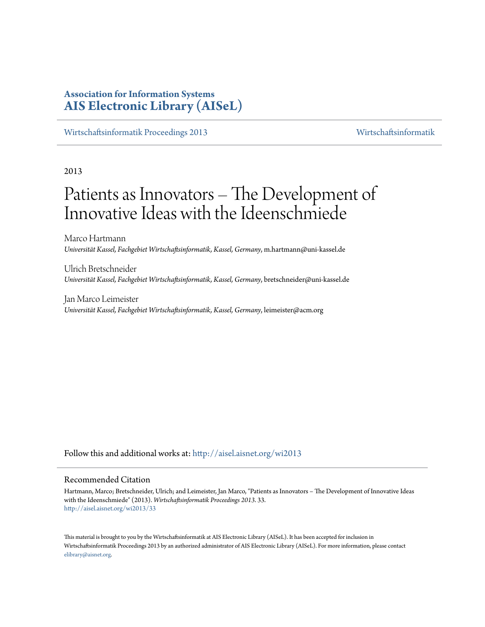# **Association for Information Systems [AIS Electronic Library \(AISeL\)](http://aisel.aisnet.org?utm_source=aisel.aisnet.org%2Fwi2013%2F33&utm_medium=PDF&utm_campaign=PDFCoverPages)**

[Wirtschaftsinformatik Proceedings 2013](http://aisel.aisnet.org/wi2013?utm_source=aisel.aisnet.org%2Fwi2013%2F33&utm_medium=PDF&utm_campaign=PDFCoverPages) [Wirtschaftsinformatik](http://aisel.aisnet.org/wi?utm_source=aisel.aisnet.org%2Fwi2013%2F33&utm_medium=PDF&utm_campaign=PDFCoverPages)

2013

# Patients as Innovators – The Development of Innovative Ideas with the Ideenschmiede

Marco Hartmann *Universität Kassel, Fachgebiet Wirtschaftsinformatik, Kassel, Germany*, m.hartmann@uni-kassel.de

Ulrich Bretschneider *Universität Kassel, Fachgebiet Wirtschaftsinformatik, Kassel, Germany*, bretschneider@uni-kassel.de

Jan Marco Leimeister *Universität Kassel, Fachgebiet Wirtschaftsinformatik, Kassel, Germany*, leimeister@acm.org

Follow this and additional works at: [http://aisel.aisnet.org/wi2013](http://aisel.aisnet.org/wi2013?utm_source=aisel.aisnet.org%2Fwi2013%2F33&utm_medium=PDF&utm_campaign=PDFCoverPages)

## Recommended Citation

Hartmann, Marco; Bretschneider, Ulrich; and Leimeister, Jan Marco, "Patients as Innovators – The Development of Innovative Ideas with the Ideenschmiede" (2013). *Wirtschaftsinformatik Proceedings 2013*. 33. [http://aisel.aisnet.org/wi2013/33](http://aisel.aisnet.org/wi2013/33?utm_source=aisel.aisnet.org%2Fwi2013%2F33&utm_medium=PDF&utm_campaign=PDFCoverPages)

This material is brought to you by the Wirtschaftsinformatik at AIS Electronic Library (AISeL). It has been accepted for inclusion in Wirtschaftsinformatik Proceedings 2013 by an authorized administrator of AIS Electronic Library (AISeL). For more information, please contact [elibrary@aisnet.org.](mailto:elibrary@aisnet.org%3E)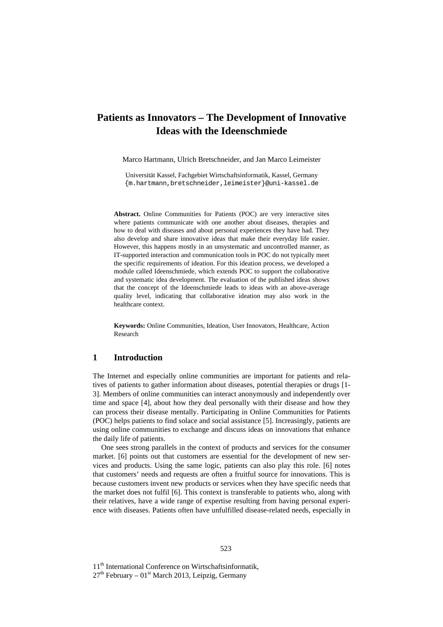# **Patients as Innovators – The Development of Innovative Ideas with the Ideenschmiede**

Marco Hartmann, Ulrich Bretschneider, and Jan Marco Leimeister

Universität Kassel, Fachgebiet Wirtschaftsinformatik, Kassel, Germany {m.hartmann,bretschneider,leimeister}@uni-kassel.de

**Abstract.** Online Communities for Patients (POC) are very interactive sites where patients communicate with one another about diseases, therapies and how to deal with diseases and about personal experiences they have had. They also develop and share innovative ideas that make their everyday life easier. However, this happens mostly in an unsystematic and uncontrolled manner, as IT-supported interaction and communication tools in POC do not typically meet the specific requirements of ideation. For this ideation process, we developed a module called Ideenschmiede, which extends POC to support the collaborative and systematic idea development. The evaluation of the published ideas shows that the concept of the Ideenschmiede leads to ideas with an above-average quality level, indicating that collaborative ideation may also work in the healthcare context.

**Keywords:** Online Communities, Ideation, User Innovators, Healthcare, Action Research

# **1 Introduction**

The Internet and especially online communities are important for patients and relatives of patients to gather information about diseases, potential therapies or drugs [1- 3]. Members of online communities can interact anonymously and independently over time and space [4], about how they deal personally with their disease and how they can process their disease mentally. Participating in Online Communities for Patients (POC) helps patients to find solace and social assistance [5]. Increasingly, patients are using online communities to exchange and discuss ideas on innovations that enhance the daily life of patients.

One sees strong parallels in the context of products and services for the consumer market. [6] points out that customers are essential for the development of new services and products. Using the same logic, patients can also play this role. [6] notes that customers' needs and requests are often a fruitful source for innovations. This is because customers invent new products or services when they have specific needs that the market does not fulfil [6]. This context is transferable to patients who, along with their relatives, have a wide range of expertise resulting from having personal experience with diseases. Patients often have unfulfilled disease-related needs, especially in

11<sup>th</sup> International Conference on Wirtschaftsinformatik,

 $27<sup>th</sup>$  February – 01<sup>st</sup> March 2013, Leipzig, Germany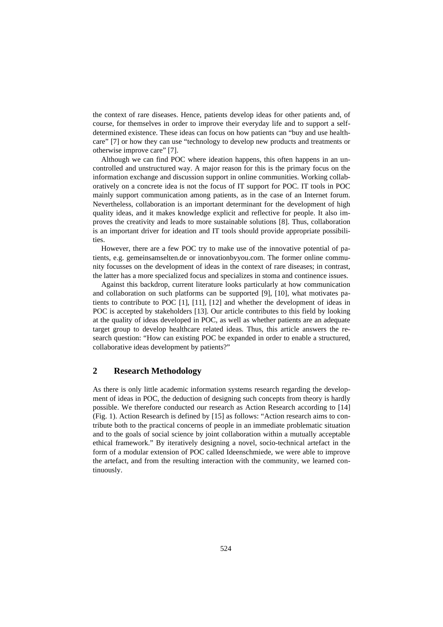the context of rare diseases. Hence, patients develop ideas for other patients and, of course, for themselves in order to improve their everyday life and to support a selfdetermined existence. These ideas can focus on how patients can "buy and use healthcare" [7] or how they can use "technology to develop new products and treatments or otherwise improve care" [7].

Although we can find POC where ideation happens, this often happens in an uncontrolled and unstructured way. A major reason for this is the primary focus on the information exchange and discussion support in online communities. Working collaboratively on a concrete idea is not the focus of IT support for POC. IT tools in POC mainly support communication among patients, as in the case of an Internet forum. Nevertheless, collaboration is an important determinant for the development of high quality ideas, and it makes knowledge explicit and reflective for people. It also improves the creativity and leads to more sustainable solutions [8]. Thus, collaboration is an important driver for ideation and IT tools should provide appropriate possibilities.

However, there are a few POC try to make use of the innovative potential of patients, e.g. gemeinsamselten.de or innovationbyyou.com. The former online community focusses on the development of ideas in the context of rare diseases; in contrast, the latter has a more specialized focus and specializes in stoma and continence issues.

Against this backdrop, current literature looks particularly at how communication and collaboration on such platforms can be supported [9], [10], what motivates patients to contribute to POC [1], [11], [12] and whether the development of ideas in POC is accepted by stakeholders [13]. Our article contributes to this field by looking at the quality of ideas developed in POC, as well as whether patients are an adequate target group to develop healthcare related ideas. Thus, this article answers the research question: "How can existing POC be expanded in order to enable a structured, collaborative ideas development by patients?"

# **2 Research Methodology**

As there is only little academic information systems research regarding the development of ideas in POC, the deduction of designing such concepts from theory is hardly possible. We therefore conducted our research as Action Research according to [14] (Fig. 1). Action Research is defined by [15] as follows: "Action research aims to contribute both to the practical concerns of people in an immediate problematic situation and to the goals of social science by joint collaboration within a mutually acceptable ethical framework." By iteratively designing a novel, socio-technical artefact in the form of a modular extension of POC called Ideenschmiede, we were able to improve the artefact, and from the resulting interaction with the community, we learned continuously.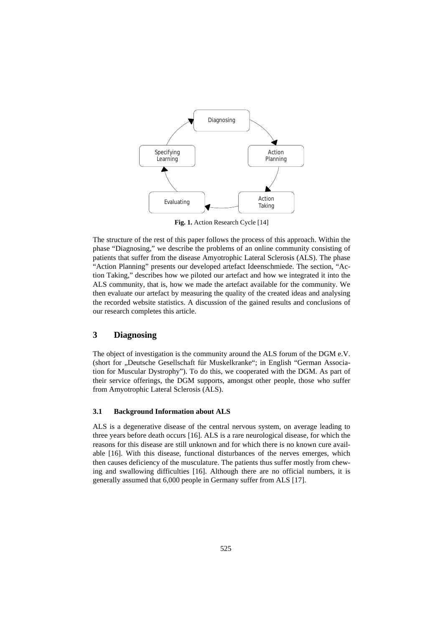

**Fig. 1.** Action Research Cycle [14]

The structure of the rest of this paper follows the process of this approach. Within the phase "Diagnosing," we describe the problems of an online community consisting of patients that suffer from the disease Amyotrophic Lateral Sclerosis (ALS). The phase "Action Planning" presents our developed artefact Ideenschmiede. The section, "Action Taking," describes how we piloted our artefact and how we integrated it into the ALS community, that is, how we made the artefact available for the community. We then evaluate our artefact by measuring the quality of the created ideas and analysing the recorded website statistics. A discussion of the gained results and conclusions of our research completes this article.

# **3 Diagnosing**

The object of investigation is the community around the ALS forum of the DGM e.V. (short for "Deutsche Gesellschaft für Muskelkranke"; in English "German Association for Muscular Dystrophy"). To do this, we cooperated with the DGM. As part of their service offerings, the DGM supports, amongst other people, those who suffer from Amyotrophic Lateral Sclerosis (ALS).

## **3.1 Background Information about ALS**

ALS is a degenerative disease of the central nervous system, on average leading to three years before death occurs [16]. ALS is a rare neurological disease, for which the reasons for this disease are still unknown and for which there is no known cure available [16]. With this disease, functional disturbances of the nerves emerges, which then causes deficiency of the musculature. The patients thus suffer mostly from chewing and swallowing difficulties [16]. Although there are no official numbers, it is generally assumed that 6,000 people in Germany suffer from ALS [17].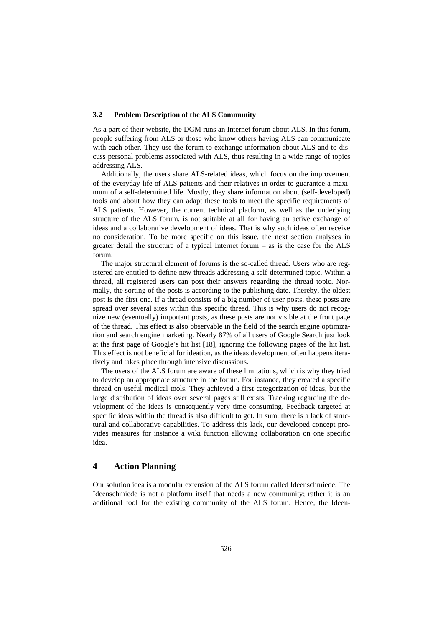#### **3.2 Problem Description of the ALS Community**

As a part of their website, the DGM runs an Internet forum about ALS. In this forum, people suffering from ALS or those who know others having ALS can communicate with each other. They use the forum to exchange information about ALS and to discuss personal problems associated with ALS, thus resulting in a wide range of topics addressing ALS.

Additionally, the users share ALS-related ideas, which focus on the improvement of the everyday life of ALS patients and their relatives in order to guarantee a maximum of a self-determined life. Mostly, they share information about (self-developed) tools and about how they can adapt these tools to meet the specific requirements of ALS patients. However, the current technical platform, as well as the underlying structure of the ALS forum, is not suitable at all for having an active exchange of ideas and a collaborative development of ideas. That is why such ideas often receive no consideration. To be more specific on this issue, the next section analyses in greater detail the structure of a typical Internet forum – as is the case for the ALS forum.

The major structural element of forums is the so-called thread. Users who are registered are entitled to define new threads addressing a self-determined topic. Within a thread, all registered users can post their answers regarding the thread topic. Normally, the sorting of the posts is according to the publishing date. Thereby, the oldest post is the first one. If a thread consists of a big number of user posts, these posts are spread over several sites within this specific thread. This is why users do not recognize new (eventually) important posts, as these posts are not visible at the front page of the thread. This effect is also observable in the field of the search engine optimization and search engine marketing. Nearly 87% of all users of Google Search just look at the first page of Google's hit list [18], ignoring the following pages of the hit list. This effect is not beneficial for ideation, as the ideas development often happens iteratively and takes place through intensive discussions.

The users of the ALS forum are aware of these limitations, which is why they tried to develop an appropriate structure in the forum. For instance, they created a specific thread on useful medical tools. They achieved a first categorization of ideas, but the large distribution of ideas over several pages still exists. Tracking regarding the development of the ideas is consequently very time consuming. Feedback targeted at specific ideas within the thread is also difficult to get. In sum, there is a lack of structural and collaborative capabilities. To address this lack, our developed concept provides measures for instance a wiki function allowing collaboration on one specific idea.

## **4 Action Planning**

Our solution idea is a modular extension of the ALS forum called Ideenschmiede. The Ideenschmiede is not a platform itself that needs a new community; rather it is an additional tool for the existing community of the ALS forum. Hence, the Ideen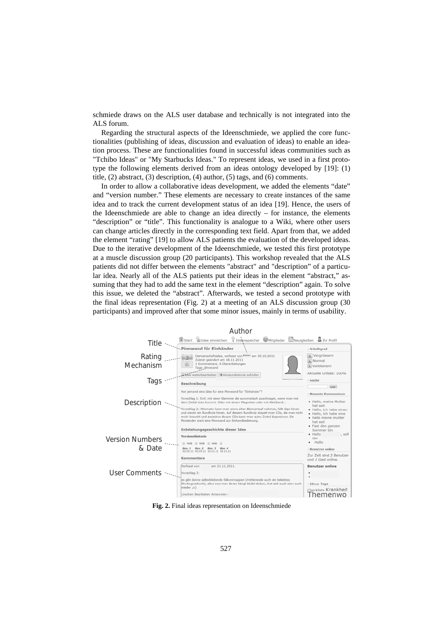schmiede draws on the ALS user database and technically is not integrated into the ALS forum.

Regarding the structural aspects of the Ideenschmiede, we applied the core functionalities (publishing of ideas, discussion and evaluation of ideas) to enable an ideation process. These are functionalities found in successful ideas communities such as "Tchibo Ideas" or "My Starbucks Ideas." To represent ideas, we used in a first prototype the following elements derived from an ideas ontology developed by [19]: (1) title, (2) abstract, (3) description, (4) author, (5) tags, and (6) comments.

In order to allow a collaborative ideas development, we added the elements "date" and "version number." These elements are necessary to create instances of the same idea and to track the current development status of an idea [19]. Hence, the users of the Ideenschmiede are able to change an idea directly – for instance, the elements "description" or "title". This functionality is analogue to a Wiki, where other users can change articles directly in the corresponding text field. Apart from that, we added the element "rating" [19] to allow ALS patients the evaluation of the developed ideas. Due to the iterative development of the Ideenschmiede, we tested this first prototype at a muscle discussion group (20 participants). This workshop revealed that the ALS patients did not differ between the elements "abstract" and "description" of a particular idea. Nearly all of the ALS patients put their ideas in the element "abstract," assuming that they had to add the same text in the element "description" again. To solve this issue, we deleted the "abstract". Afterwards, we tested a second prototype with the final ideas representation (Fig. 2) at a meeting of an ALS discussion group (30 participants) and improved after that some minor issues, mainly in terms of usability.



**Fig. 2.** Final ideas representation on Ideenschmiede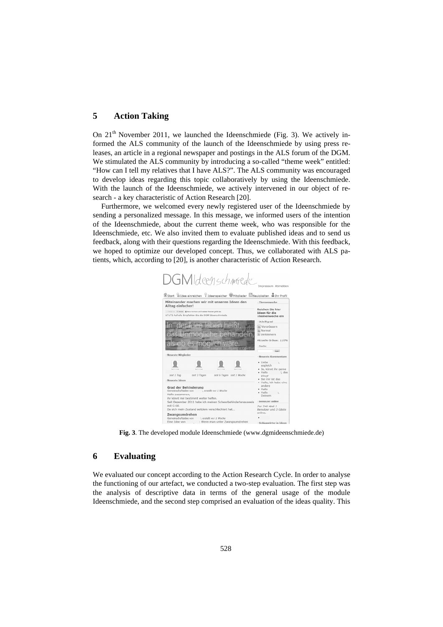# **5 Action Taking**

On  $21<sup>th</sup>$  November 2011, we launched the Ideenschmiede (Fig. 3). We actively informed the ALS community of the launch of the Ideenschmiede by using press releases, an article in a regional newspaper and postings in the ALS forum of the DGM. We stimulated the ALS community by introducing a so-called "theme week" entitled: "How can I tell my relatives that I have ALS?". The ALS community was encouraged to develop ideas regarding this topic collaboratively by using the Ideenschmiede. With the launch of the Ideenschmiede, we actively intervened in our object of research - a key characteristic of Action Research [20].

Furthermore, we welcomed every newly registered user of the Ideenschmiede by sending a personalized message. In this message, we informed users of the intention of the Ideenschmiede, about the current theme week, who was responsible for the Ideenschmiede, etc. We also invited them to evaluate published ideas and to send us feedback, along with their questions regarding the Ideenschmiede. With this feedback, we hoped to optimize our developed concept. Thus, we collaborated with ALS patients, which, according to [20], is another characteristic of Action Research.



**Fig. 3**. The developed module Ideenschmiede (www.dgmideenschmiede.de)

# **6 Evaluating**

We evaluated our concept according to the Action Research Cycle. In order to analyse the functioning of our artefact, we conducted a two-step evaluation. The first step was the analysis of descriptive data in terms of the general usage of the module Ideenschmiede, and the second step comprised an evaluation of the ideas quality. This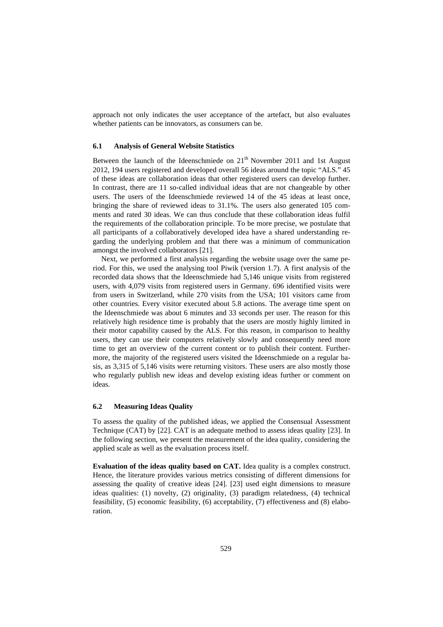approach not only indicates the user acceptance of the artefact, but also evaluates whether patients can be innovators, as consumers can be.

#### **6.1 Analysis of General Website Statistics**

Between the launch of the Ideenschmiede on  $21<sup>th</sup>$  November 2011 and 1st August 2012, 194 users registered and developed overall 56 ideas around the topic "ALS." 45 of these ideas are collaboration ideas that other registered users can develop further. In contrast, there are 11 so-called individual ideas that are not changeable by other users. The users of the Ideenschmiede reviewed 14 of the 45 ideas at least once, bringing the share of reviewed ideas to 31.1%. The users also generated 105 comments and rated 30 ideas. We can thus conclude that these collaboration ideas fulfil the requirements of the collaboration principle. To be more precise, we postulate that all participants of a collaboratively developed idea have a shared understanding regarding the underlying problem and that there was a minimum of communication amongst the involved collaborators [21].

Next, we performed a first analysis regarding the website usage over the same period. For this, we used the analysing tool Piwik (version 1.7). A first analysis of the recorded data shows that the Ideenschmiede had 5,146 unique visits from registered users, with 4,079 visits from registered users in Germany. 696 identified visits were from users in Switzerland, while 270 visits from the USA; 101 visitors came from other countries. Every visitor executed about 5.8 actions. The average time spent on the Ideenschmiede was about 6 minutes and 33 seconds per user. The reason for this relatively high residence time is probably that the users are mostly highly limited in their motor capability caused by the ALS. For this reason, in comparison to healthy users, they can use their computers relatively slowly and consequently need more time to get an overview of the current content or to publish their content. Furthermore, the majority of the registered users visited the Ideenschmiede on a regular basis, as 3,315 of 5,146 visits were returning visitors. These users are also mostly those who regularly publish new ideas and develop existing ideas further or comment on ideas.

#### **6.2 Measuring Ideas Quality**

To assess the quality of the published ideas, we applied the Consensual Assessment Technique (CAT) by [22]. CAT is an adequate method to assess ideas quality [23]. In the following section, we present the measurement of the idea quality, considering the applied scale as well as the evaluation process itself.

**Evaluation of the ideas quality based on CAT.** Idea quality is a complex construct. Hence, the literature provides various metrics consisting of different dimensions for assessing the quality of creative ideas [24]. [23] used eight dimensions to measure ideas qualities: (1) novelty, (2) originality, (3) paradigm relatedness, (4) technical feasibility, (5) economic feasibility, (6) acceptability, (7) effectiveness and (8) elaboration.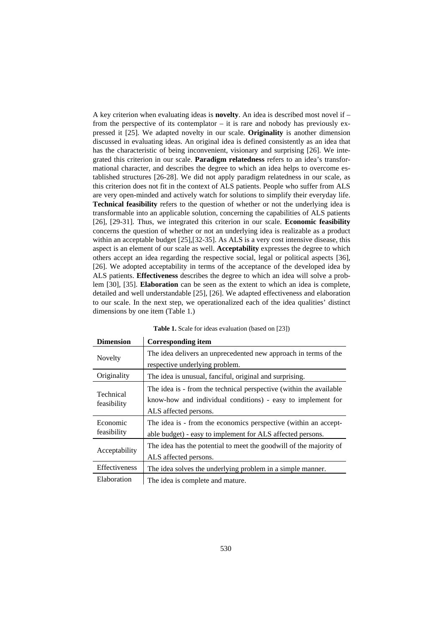A key criterion when evaluating ideas is **novelty**. An idea is described most novel if – from the perspective of its contemplator – it is rare and nobody has previously expressed it [25]. We adapted novelty in our scale. **Originality** is another dimension discussed in evaluating ideas. An original idea is defined consistently as an idea that has the characteristic of being inconvenient, visionary and surprising [26]. We integrated this criterion in our scale. **Paradigm relatedness** refers to an idea's transformational character, and describes the degree to which an idea helps to overcome established structures [26-28]. We did not apply paradigm relatedness in our scale, as this criterion does not fit in the context of ALS patients. People who suffer from ALS are very open-minded and actively watch for solutions to simplify their everyday life. **Technical feasibility** refers to the question of whether or not the underlying idea is transformable into an applicable solution, concerning the capabilities of ALS patients [26], [29-31]. Thus, we integrated this criterion in our scale. **Economic feasibility** concerns the question of whether or not an underlying idea is realizable as a product within an acceptable budget [25],[32-35]. As ALS is a very cost intensive disease, this aspect is an element of our scale as well. **Acceptability** expresses the degree to which others accept an idea regarding the respective social, legal or political aspects [36], [26]. We adopted acceptability in terms of the acceptance of the developed idea by ALS patients. **Effectiveness** describes the degree to which an idea will solve a problem [30], [35]. **Elaboration** can be seen as the extent to which an idea is complete, detailed and well understandable [25], [26]. We adapted effectiveness and elaboration to our scale. In the next step, we operationalized each of the idea qualities' distinct dimensions by one item (Table 1.)

| <b>Dimension</b>         | <b>Corresponding item</b>                                                                                                                                  |  |
|--------------------------|------------------------------------------------------------------------------------------------------------------------------------------------------------|--|
| <b>Novelty</b>           | The idea delivers an unprecedented new approach in terms of the                                                                                            |  |
|                          | respective underlying problem.                                                                                                                             |  |
| Originality              | The idea is unusual, fanciful, original and surprising.                                                                                                    |  |
| Technical<br>feasibility | The idea is - from the technical perspective (within the available<br>know-how and individual conditions) - easy to implement for<br>ALS affected persons. |  |
| Economic<br>feasibility  | The idea is - from the economics perspective (within an accept-<br>able budget) - easy to implement for ALS affected persons.                              |  |
| Acceptability            | The idea has the potential to meet the goodwill of the majority of<br>ALS affected persons.                                                                |  |
| Effectiveness            | The idea solves the underlying problem in a simple manner.                                                                                                 |  |
| Elaboration              | The idea is complete and mature.                                                                                                                           |  |

**Table 1.** Scale for ideas evaluation (based on [23])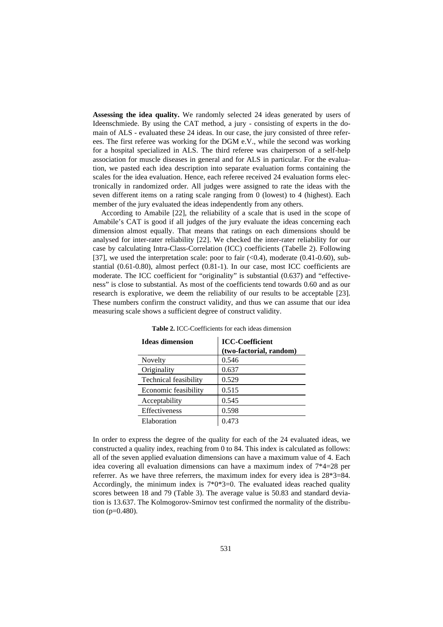**Assessing the idea quality.** We randomly selected 24 ideas generated by users of Ideenschmiede. By using the CAT method, a jury - consisting of experts in the domain of ALS - evaluated these 24 ideas. In our case, the jury consisted of three referees. The first referee was working for the DGM e.V., while the second was working for a hospital specialized in ALS. The third referee was chairperson of a self-help association for muscle diseases in general and for ALS in particular. For the evaluation, we pasted each idea description into separate evaluation forms containing the scales for the idea evaluation. Hence, each referee received 24 evaluation forms electronically in randomized order. All judges were assigned to rate the ideas with the seven different items on a rating scale ranging from 0 (lowest) to 4 (highest). Each member of the jury evaluated the ideas independently from any others.

According to Amabile [22], the reliability of a scale that is used in the scope of Amabile's CAT is good if all judges of the jury evaluate the ideas concerning each dimension almost equally. That means that ratings on each dimensions should be analysed for inter-rater reliability [22]. We checked the inter-rater reliability for our case by calculating Intra-Class-Correlation (ICC) coefficients (Tabelle 2). Following [37], we used the interpretation scale: poor to fair  $( $0.4$ ), moderate  $(0.41-0.60)$ , sub$ stantial (0.61-0.80), almost perfect (0.81-1). In our case, most ICC coefficients are moderate. The ICC coefficient for "originality" is substantial (0.637) and "effectiveness" is close to substantial. As most of the coefficients tend towards 0.60 and as our research is explorative, we deem the reliability of our results to be acceptable [23]. These numbers confirm the construct validity, and thus we can assume that our idea measuring scale shows a sufficient degree of construct validity.

| <b>Ideas dimension</b>       | <b>ICC-Coefficient</b>  |  |
|------------------------------|-------------------------|--|
|                              | (two-factorial, random) |  |
| Novelty                      | 0.546                   |  |
| Originality                  | 0.637                   |  |
| <b>Technical feasibility</b> | 0.529                   |  |
| Economic feasibility         | 0.515                   |  |
| Acceptability                | 0.545                   |  |
| Effectiveness                | 0.598                   |  |
| Elaboration                  | 0.473                   |  |

**Table 2.** ICC-Coefficients for each ideas dimension

In order to express the degree of the quality for each of the 24 evaluated ideas, we constructed a quality index, reaching from 0 to 84. This index is calculated as follows: all of the seven applied evaluation dimensions can have a maximum value of 4. Each idea covering all evaluation dimensions can have a maximum index of 7\*4=28 per referrer. As we have three referrers, the maximum index for every idea is 28\*3=84. Accordingly, the minimum index is  $7*0*3=0$ . The evaluated ideas reached quality scores between 18 and 79 (Table 3). The average value is 50.83 and standard deviation is 13.637. The Kolmogorov-Smirnov test confirmed the normality of the distribution (p=0.480).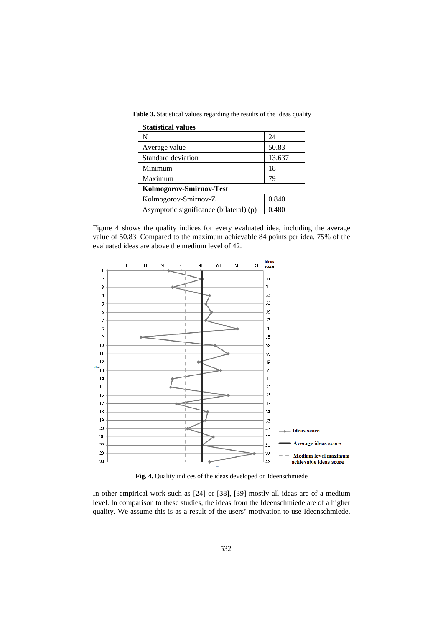**Table 3.** Statistical values regarding the results of the ideas quality

| <b>Statistical values</b>               |        |  |  |
|-----------------------------------------|--------|--|--|
| N                                       | 24     |  |  |
| Average value                           | 50.83  |  |  |
| Standard deviation                      | 13.637 |  |  |
| Minimum                                 | 18     |  |  |
| Maximum                                 | 79     |  |  |
| Kolmogorov-Smirnov-Test                 |        |  |  |
| Kolmogorov-Smirnov-Z                    | 0.840  |  |  |
| Asymptotic significance (bilateral) (p) | 0.480  |  |  |

Figure 4 shows the quality indices for every evaluated idea, including the average value of 50.83. Compared to the maximum achievable 84 points per idea, 75% of the evaluated ideas are above the medium level of 42.



**Fig. 4.** Quality indices of the ideas developed on Ideenschmiede

In other empirical work such as [24] or [38], [39] mostly all ideas are of a medium level. In comparison to these studies, the ideas from the Ideenschmiede are of a higher quality. We assume this is as a result of the users' motivation to use Ideenschmiede.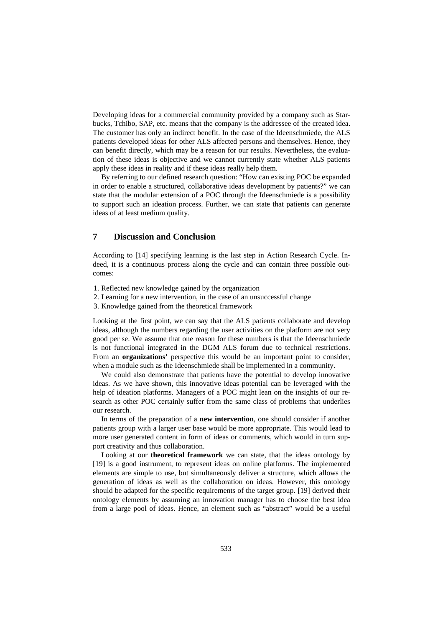Developing ideas for a commercial community provided by a company such as Starbucks, Tchibo, SAP, etc. means that the company is the addressee of the created idea. The customer has only an indirect benefit. In the case of the Ideenschmiede, the ALS patients developed ideas for other ALS affected persons and themselves. Hence, they can benefit directly, which may be a reason for our results. Nevertheless, the evaluation of these ideas is objective and we cannot currently state whether ALS patients apply these ideas in reality and if these ideas really help them.

By referring to our defined research question: "How can existing POC be expanded in order to enable a structured, collaborative ideas development by patients?" we can state that the modular extension of a POC through the Ideenschmiede is a possibility to support such an ideation process. Further, we can state that patients can generate ideas of at least medium quality.

# **7 Discussion and Conclusion**

According to [14] specifying learning is the last step in Action Research Cycle. Indeed, it is a continuous process along the cycle and can contain three possible outcomes:

- 1. Reflected new knowledge gained by the organization
- 2. Learning for a new intervention, in the case of an unsuccessful change
- 3. Knowledge gained from the theoretical framework

Looking at the first point, we can say that the ALS patients collaborate and develop ideas, although the numbers regarding the user activities on the platform are not very good per se. We assume that one reason for these numbers is that the Ideenschmiede is not functional integrated in the DGM ALS forum due to technical restrictions. From an **organizations'** perspective this would be an important point to consider, when a module such as the Ideenschmiede shall be implemented in a community.

We could also demonstrate that patients have the potential to develop innovative ideas. As we have shown, this innovative ideas potential can be leveraged with the help of ideation platforms. Managers of a POC might lean on the insights of our research as other POC certainly suffer from the same class of problems that underlies our research.

In terms of the preparation of a **new intervention**, one should consider if another patients group with a larger user base would be more appropriate. This would lead to more user generated content in form of ideas or comments, which would in turn support creativity and thus collaboration.

Looking at our **theoretical framework** we can state, that the ideas ontology by [19] is a good instrument, to represent ideas on online platforms. The implemented elements are simple to use, but simultaneously deliver a structure, which allows the generation of ideas as well as the collaboration on ideas. However, this ontology should be adapted for the specific requirements of the target group. [19] derived their ontology elements by assuming an innovation manager has to choose the best idea from a large pool of ideas. Hence, an element such as "abstract" would be a useful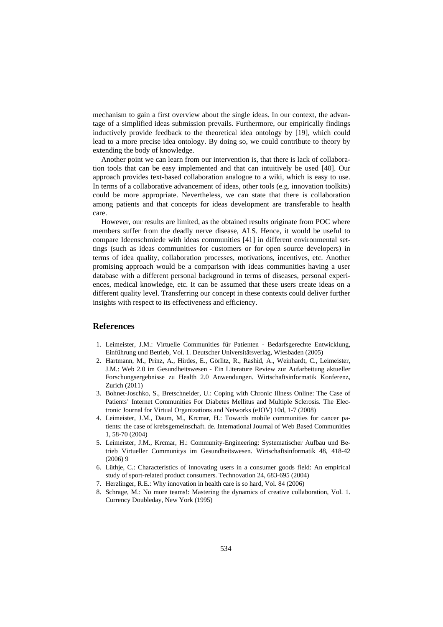mechanism to gain a first overview about the single ideas. In our context, the advantage of a simplified ideas submission prevails. Furthermore, our empirically findings inductively provide feedback to the theoretical idea ontology by [19], which could lead to a more precise idea ontology. By doing so, we could contribute to theory by extending the body of knowledge.

Another point we can learn from our intervention is, that there is lack of collaboration tools that can be easy implemented and that can intuitively be used [40]. Our approach provides text-based collaboration analogue to a wiki, which is easy to use. In terms of a collaborative advancement of ideas, other tools (e.g. innovation toolkits) could be more appropriate. Nevertheless, we can state that there is collaboration among patients and that concepts for ideas development are transferable to health care.

However, our results are limited, as the obtained results originate from POC where members suffer from the deadly nerve disease, ALS. Hence, it would be useful to compare Ideenschmiede with ideas communities [41] in different environmental settings (such as ideas communities for customers or for open source developers) in terms of idea quality, collaboration processes, motivations, incentives, etc. Another promising approach would be a comparison with ideas communities having a user database with a different personal background in terms of diseases, personal experiences, medical knowledge, etc. It can be assumed that these users create ideas on a different quality level. Transferring our concept in these contexts could deliver further insights with respect to its effectiveness and efficiency.

# **References**

- 1. Leimeister, J.M.: Virtuelle Communities für Patienten Bedarfsgerechte Entwicklung, Einführung und Betrieb, Vol. 1. Deutscher Universitätsverlag, Wiesbaden (2005)
- 2. Hartmann, M., Prinz, A., Hirdes, E., Görlitz, R., Rashid, A., Weinhardt, C., Leimeister, J.M.: Web 2.0 im Gesundheitswesen - Ein Literature Review zur Aufarbeitung aktueller Forschungsergebnisse zu Health 2.0 Anwendungen. Wirtschaftsinformatik Konferenz, Zurich (2011)
- 3. Bohnet-Joschko, S., Bretschneider, U.: Coping with Chronic Illness Online: The Case of Patients' Internet Communities For Diabetes Mellitus and Multiple Sclerosis. The Electronic Journal for Virtual Organizations and Networks (eJOV) 10d, 1-7 (2008)
- 4. Leimeister, J.M., Daum, M., Krcmar, H.: Towards mobile communities for cancer patients: the case of krebsgemeinschaft. de. International Journal of Web Based Communities 1, 58-70 (2004)
- 5. Leimeister, J.M., Krcmar, H.: Community-Engineering: Systematischer Aufbau und Betrieb Virtueller Communitys im Gesundheitswesen. Wirtschaftsinformatik 48, 418-42 (2006) 9
- 6. Lüthje, C.: Characteristics of innovating users in a consumer goods field: An empirical study of sport-related product consumers. Technovation 24, 683-695 (2004)
- 7. Herzlinger, R.E.: Why innovation in health care is so hard, Vol. 84 (2006)
- 8. Schrage, M.: No more teams!: Mastering the dynamics of creative collaboration, Vol. 1. Currency Doubleday, New York (1995)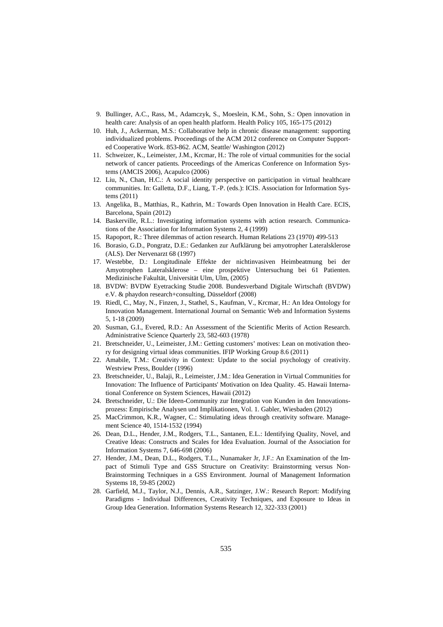- 9. Bullinger, A.C., Rass, M., Adamczyk, S., Moeslein, K.M., Sohn, S.: Open innovation in health care: Analysis of an open health platform. Health Policy 105, 165-175 (2012)
- 10. Huh, J., Ackerman, M.S.: Collaborative help in chronic disease management: supporting individualized problems. Proceedings of the ACM 2012 conference on Computer Supported Cooperative Work. 853-862. ACM, Seattle/ Washington (2012)
- 11. Schweizer, K., Leimeister, J.M., Krcmar, H.: The role of virtual communities for the social network of cancer patients. Proceedings of the Americas Conference on Information Systems (AMCIS 2006), Acapulco (2006)
- 12. Liu, N., Chan, H.C.: A social identity perspective on participation in virtual healthcare communities. In: Galletta, D.F., Liang, T.-P. (eds.): ICIS. Association for Information Systems (2011)
- 13. Angelika, B., Matthias, R., Kathrin, M.: Towards Open Innovation in Health Care. ECIS, Barcelona, Spain (2012)
- 14. Baskerville, R.L.: Investigating information systems with action research. Communications of the Association for Information Systems 2, 4 (1999)
- 15. Rapoport, R.: Three dilemmas of action research. Human Relations 23 (1970) 499-513
- 16. Borasio, G.D., Pongratz, D.E.: Gedanken zur Aufklärung bei amyotropher Lateralsklerose (ALS). Der Nervenarzt 68 (1997)
- 17. Westebbe, D.: Longitudinale Effekte der nichtinvasiven Heimbeatmung bei der Amyotrophen Lateralsklerose – eine prospektive Untersuchung bei 61 Patienten. Medizinische Fakultät, Universität Ulm, Ulm, (2005)
- 18. BVDW: BVDW Eyetracking Studie 2008. Bundesverband Digitale Wirtschaft (BVDW) e.V. & phaydon research+consulting, Düsseldorf (2008)
- 19. Riedl, C., May, N., Finzen, J., Stathel, S., Kaufman, V., Krcmar, H.: An Idea Ontology for Innovation Management. International Journal on Semantic Web and Information Systems 5, 1-18 (2009)
- 20. Susman, G.I., Evered, R.D.: An Assessment of the Scientific Merits of Action Research. Administrative Science Quarterly 23, 582-603 (1978)
- 21. Bretschneider, U., Leimeister, J.M.: Getting customers' motives: Lean on motivation theory for designing virtual ideas communities. IFIP Working Group 8.6 (2011)
- 22. Amabile, T.M.: Creativity in Context: Update to the social psychology of creativity. Westview Press, Boulder (1996)
- 23. Bretschneider, U., Balaji, R., Leimeister, J.M.: Idea Generation in Virtual Communities for Innovation: The Influence of Participants' Motivation on Idea Quality. 45. Hawaii International Conference on System Sciences, Hawaii (2012)
- 24. Bretschneider, U.: Die Ideen-Community zur Integration von Kunden in den Innovationsprozess: Empirische Analysen und Implikationen, Vol. 1. Gabler, Wiesbaden (2012)
- 25. MacCrimmon, K.R., Wagner, C.: Stimulating ideas through creativity software. Management Science 40, 1514-1532 (1994)
- 26. Dean, D.L., Hender, J.M., Rodgers, T.L., Santanen, E.L.: Identifying Quality, Novel, and Creative Ideas: Constructs and Scales for Idea Evaluation. Journal of the Association for Information Systems 7, 646-698 (2006)
- 27. Hender, J.M., Dean, D.L., Rodgers, T.L., Nunamaker Jr, J.F.: An Examination of the Impact of Stimuli Type and GSS Structure on Creativity: Brainstorming versus Non-Brainstorming Techniques in a GSS Environment. Journal of Management Information Systems 18, 59-85 (2002)
- 28. Garfield, M.J., Taylor, N.J., Dennis, A.R., Satzinger, J.W.: Research Report: Modifying Paradigms - Individual Differences, Creativity Techniques, and Exposure to Ideas in Group Idea Generation. Information Systems Research 12, 322-333 (2001)